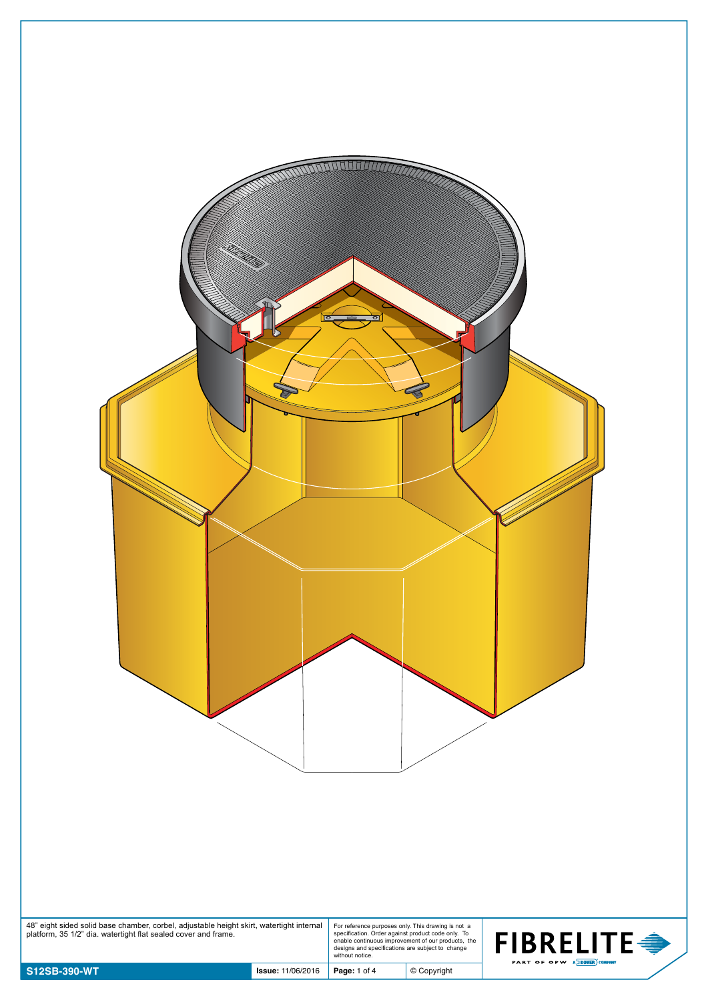| 48" eight sided solid base chamber, corbel, adjustable height skirt, watertight internal | $\Theta$<br>For reference purposes only. This drawing is not a                                                                                                                  |                                                              |
|------------------------------------------------------------------------------------------|---------------------------------------------------------------------------------------------------------------------------------------------------------------------------------|--------------------------------------------------------------|
| platform, 35 1/2" dia. watertight flat sealed cover and frame.                           | specification. Order against product code only. To<br>enable continuous improvement of our products, the<br>designs and specifications are subject to change<br>without notice. | <b>FIBRELITE <del>●</del></b><br>PART OF OPW A DOVER COMPANY |
| S12SB-390-WT<br><b>Issue: 11/06/2016</b>                                                 | $©$ Copyright<br>Page: 1 of 4                                                                                                                                                   |                                                              |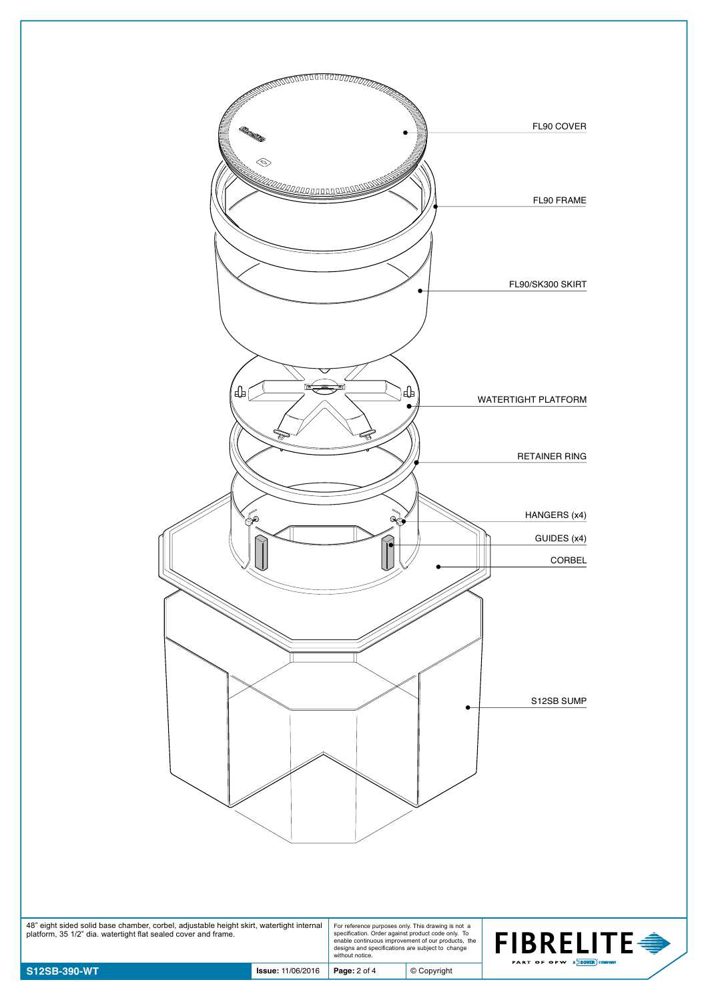

48" eight sided solid base chamber, corbel, adjustable height skirt, watertight internal platform, 35 1/2" dia. watertight flat sealed cover and frame. For reference purposes only. This drawing is not a specification. Order against product code only. To enable continuous improvement of our products, the designs and specifications are subject to change without notice.

© Copyright

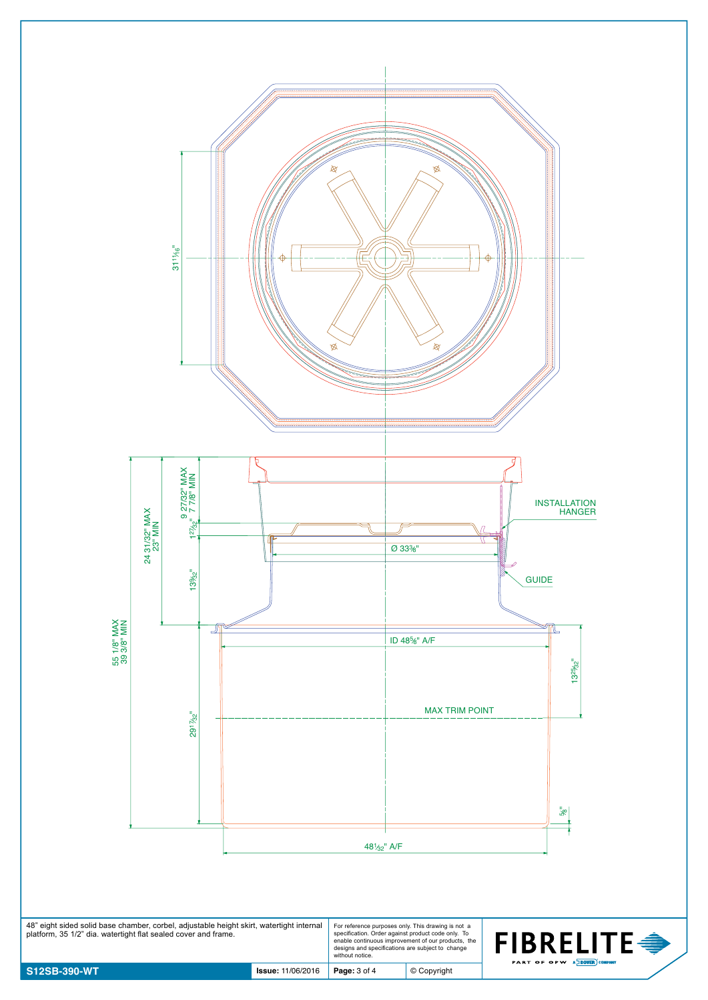